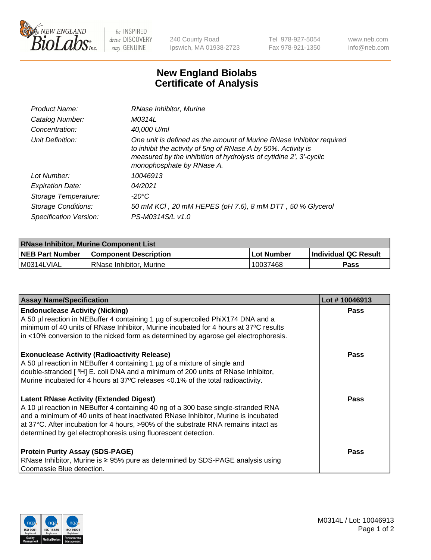

 $be$  INSPIRED drive DISCOVERY stay GENUINE

240 County Road Ipswich, MA 01938-2723 Tel 978-927-5054 Fax 978-921-1350 www.neb.com info@neb.com

## **New England Biolabs Certificate of Analysis**

| Product Name:              | RNase Inhibitor, Murine                                                                                                                                                                                                                  |
|----------------------------|------------------------------------------------------------------------------------------------------------------------------------------------------------------------------------------------------------------------------------------|
| Catalog Number:            | M0314L                                                                                                                                                                                                                                   |
| Concentration:             | 40,000 U/ml                                                                                                                                                                                                                              |
| Unit Definition:           | One unit is defined as the amount of Murine RNase Inhibitor required<br>to inhibit the activity of 5ng of RNase A by 50%. Activity is<br>measured by the inhibition of hydrolysis of cytidine 2', 3'-cyclic<br>monophosphate by RNase A. |
| Lot Number:                | 10046913                                                                                                                                                                                                                                 |
| <b>Expiration Date:</b>    | 04/2021                                                                                                                                                                                                                                  |
| Storage Temperature:       | -20°C                                                                                                                                                                                                                                    |
| <b>Storage Conditions:</b> | 50 mM KCl, 20 mM HEPES (pH 7.6), 8 mM DTT, 50 % Glycerol                                                                                                                                                                                 |
| Specification Version:     | PS-M0314S/L v1.0                                                                                                                                                                                                                         |

| <b>RNase Inhibitor, Murine Component List</b> |                              |                   |                             |  |  |
|-----------------------------------------------|------------------------------|-------------------|-----------------------------|--|--|
| <b>NEB Part Number</b>                        | <b>Component Description</b> | <b>Lot Number</b> | <b>Individual QC Result</b> |  |  |
| M0314LVIAL                                    | RNase Inhibitor, Murine      | 10037468          | <b>Pass</b>                 |  |  |

| <b>Assay Name/Specification</b>                                                                                                                                                                                                                                                                                                                                                   | Lot #10046913 |
|-----------------------------------------------------------------------------------------------------------------------------------------------------------------------------------------------------------------------------------------------------------------------------------------------------------------------------------------------------------------------------------|---------------|
| <b>Endonuclease Activity (Nicking)</b><br>A 50 µl reaction in NEBuffer 4 containing 1 µg of supercoiled PhiX174 DNA and a                                                                                                                                                                                                                                                         | <b>Pass</b>   |
| minimum of 40 units of RNase Inhibitor, Murine incubated for 4 hours at 37°C results<br>in <10% conversion to the nicked form as determined by agarose gel electrophoresis.                                                                                                                                                                                                       |               |
| <b>Exonuclease Activity (Radioactivity Release)</b><br>A 50 µl reaction in NEBuffer 4 containing 1 µg of a mixture of single and<br>double-stranded [3H] E. coli DNA and a minimum of 200 units of RNase Inhibitor,<br>Murine incubated for 4 hours at 37°C releases <0.1% of the total radioactivity.                                                                            | <b>Pass</b>   |
| <b>Latent RNase Activity (Extended Digest)</b><br>A 10 µl reaction in NEBuffer 4 containing 40 ng of a 300 base single-stranded RNA<br>and a minimum of 40 units of heat inactivated RNase Inhibitor, Murine is incubated<br>at 37°C. After incubation for 4 hours, >90% of the substrate RNA remains intact as<br>determined by gel electrophoresis using fluorescent detection. | <b>Pass</b>   |
| <b>Protein Purity Assay (SDS-PAGE)</b><br>RNase Inhibitor, Murine is ≥ 95% pure as determined by SDS-PAGE analysis using<br>Coomassie Blue detection.                                                                                                                                                                                                                             | Pass          |